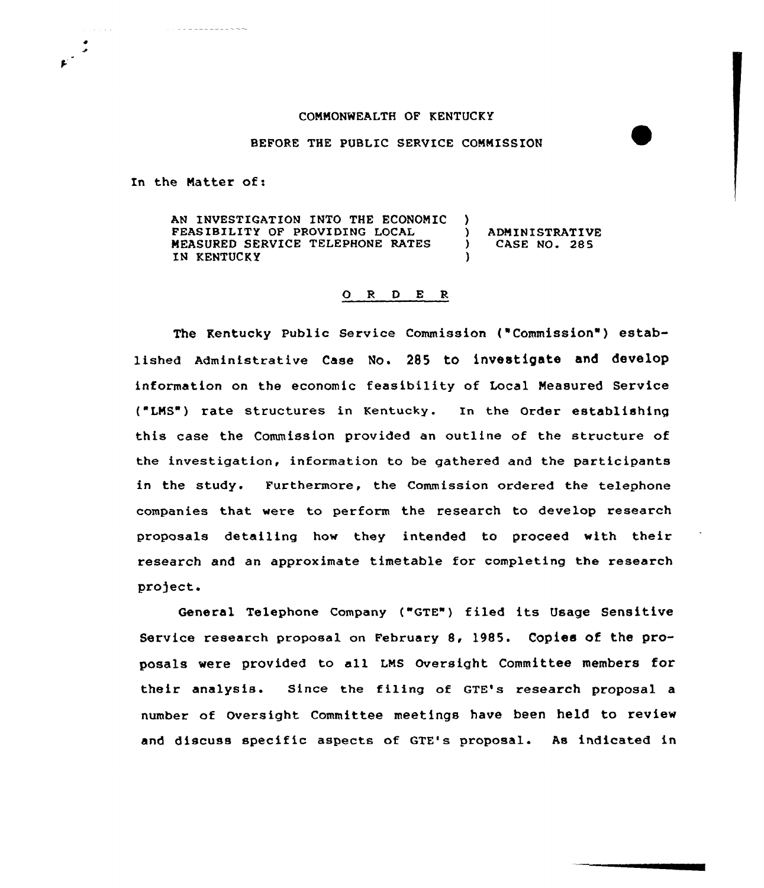## COMMONWEALTH OF KENTUCKY

## BEFORE THE PUBLIC SERVICE COMMISSION

In the Matter of:

. . .

AN INVESTIGATION INTO THE ECONOMIC ) FEASIBILITY OF PROVIDING LOCAL (1)<br>MEASURED SERVICE TELEPHONE RATES MEASURED SERVICE TELEPHONE RATES IN KENTUCKY

ADMINISTRATIVE CASE NO. 285

## 0 <sup>R</sup> <sup>D</sup> E <sup>R</sup>

The Kentucky Public Service Commission ("Commission" ) established Administrative Case No. 285 to investigate and develop information an the economic feasibility of Local Measured Service ("LMS ) rate structures in Kentucky. In the Order establishing this case the Commission provided an outline of the structure of the investigation, information to be gathered and the participants in the study. Furthermore, the Commission ordered the telephone companies that were ta perform the research to develop research proposals detailing how they intended to proceed with their research and an approximate timetable for completing the research pro)ect.

General Telephone Company ("GTE") filed its Usage Sensitive Service research proposal on February 8, 1985. Copies of the proposals were provided to all LMS Oversight Committee members for their analysis. Since the filing af GTE's research proposal a number of Oversight Committee meetings have been held to review and discuss specific aspects af GTE's proposal. As indicated in